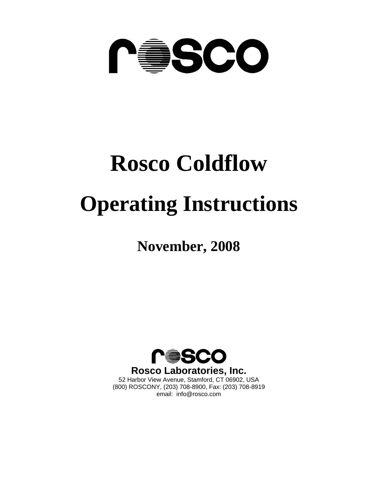

# **Rosco Coldflow Operating Instructions**

**November, 2008** 



(800) ROSCONY, (203) 708-8900, Fax: (203) 708-8919 email: info@rosco.com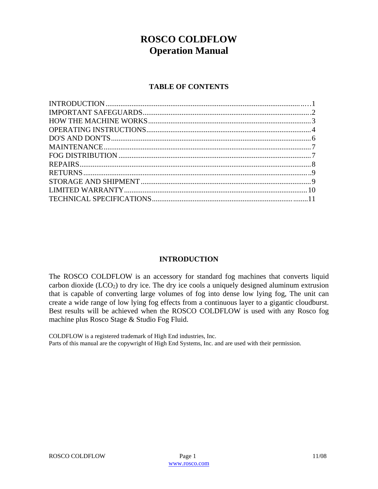# **ROSCO COLDFLOW Operation Manual**

# **TABLE OF CONTENTS**

# **INTRODUCTION**

The ROSCO COLDFLOW is an accessory for standard fog machines that converts liquid carbon dioxide  $(LCO<sub>2</sub>)$  to dry ice. The dry ice cools a uniquely designed aluminum extrusion that is capable of converting large volumes of fog into dense low lying fog, The unit can create a wide range of low lying fog effects from a continuous layer to a gigantic cloudburst. Best results will be achieved when the ROSCO COLDFLOW is used with any Rosco fog machine plus Rosco Stage & Studio Fog Fluid.

COLDFLOW is a registered trademark of High End industries, Inc. Parts of this manual are the copywright of High End Systems, Inc. and are used with their permission.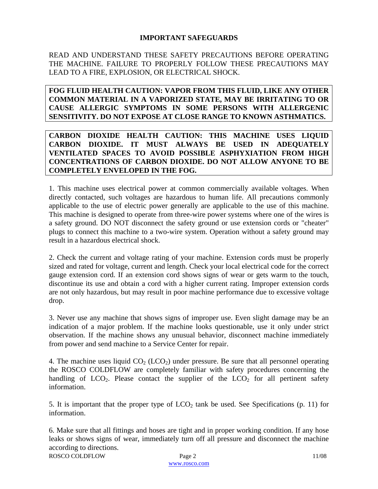# **IMPORTANT SAFEGUARDS**

READ AND UNDERSTAND THESE SAFETY PRECAUTIONS BEFORE OPERATING THE MACHINE. FAILURE TO PROPERLY FOLLOW THESE PRECAUTIONS MAY LEAD TO A FIRE, EXPLOSION, OR ELECTRICAL SHOCK.

**FOG FLUID HEALTH CAUTION: VAPOR FROM THIS FLUID, LIKE ANY OTHER COMMON MATERIAL IN A VAPORIZED STATE, MAY BE IRRITATING TO OR CAUSE ALLERGIC SYMPTOMS IN SOME PERSONS WITH ALLERGENIC SENSITIVITY. DO NOT EXPOSE AT CLOSE RANGE TO KNOWN ASTHMATICS.** 

**CARBON DIOXIDE HEALTH CAUTION: THIS MACHINE USES LIQUID CARBON DIOXIDE. IT MUST ALWAYS BE USED IN ADEQUATELY VENTILATED SPACES TO AVOID POSSIBLE ASPHYXIATION FROM HIGH CONCENTRATIONS OF CARBON DIOXIDE. DO NOT ALLOW ANYONE TO BE COMPLETELY ENVELOPED IN THE FOG.** 

1. This machine uses electrical power at common commercially available voltages. When directly contacted, such voltages are hazardous to human life. All precautions commonly applicable to the use of electric power generally are applicable to the use of this machine. This machine is designed to operate from three-wire power systems where one of the wires is a safety ground. DO NOT disconnect the safety ground or use extension cords or "cheater" plugs to connect this machine to a two-wire system. Operation without a safety ground may result in a hazardous electrical shock.

2. Check the current and voltage rating of your machine. Extension cords must be properly sized and rated for voltage, current and length. Check your local electrical code for the correct gauge extension cord. If an extension cord shows signs of wear or gets warm to the touch, discontinue its use and obtain a cord with a higher current rating. Improper extension cords are not only hazardous, but may result in poor machine performance due to excessive voltage drop.

3. Never use any machine that shows signs of improper use. Even slight damage may be an indication of a major problem. If the machine looks questionable, use it only under strict observation. If the machine shows any unusual behavior, disconnect machine immediately from power and send machine to a Service Center for repair.

4. The machine uses liquid  $CO<sub>2</sub> (LCO<sub>2</sub>)$  under pressure. Be sure that all personnel operating the ROSCO COLDFLOW are completely familiar with safety procedures concerning the handling of  $LCO<sub>2</sub>$ . Please contact the supplier of the  $LCO<sub>2</sub>$  for all pertinent safety information.

5. It is important that the proper type of  $LCO<sub>2</sub>$  tank be used. See Specifications (p. 11) for information.

ROSCO COLDFLOW Page 2 11/08 6. Make sure that all fittings and hoses are tight and in proper working condition. If any hose leaks or shows signs of wear, immediately turn off all pressure and disconnect the machine according to directions.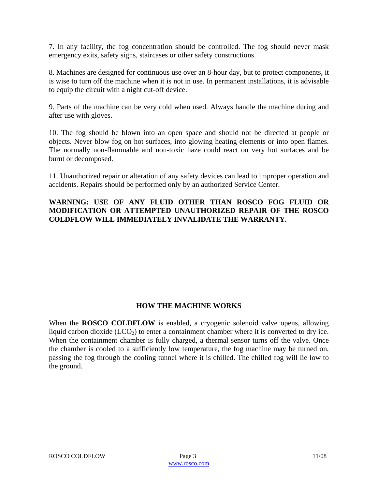7. In any facility, the fog concentration should be controlled. The fog should never mask emergency exits, safety signs, staircases or other safety constructions.

8. Machines are designed for continuous use over an 8-hour day, but to protect components, it is wise to turn off the machine when it is not in use. In permanent installations, it is advisable to equip the circuit with a night cut-off device.

9. Parts of the machine can be very cold when used. Always handle the machine during and after use with gloves.

10. The fog should be blown into an open space and should not be directed at people or objects. Never blow fog on hot surfaces, into glowing heating elements or into open flames. The normally non-flammable and non-toxic haze could react on very hot surfaces and be burnt or decomposed.

11. Unauthorized repair or alteration of any safety devices can lead to improper operation and accidents. Repairs should be performed only by an authorized Service Center.

# **WARNING: USE OF ANY FLUID OTHER THAN ROSCO FOG FLUID OR MODIFICATION OR ATTEMPTED UNAUTHORIZED REPAIR OF THE ROSCO COLDFLOW WILL IMMEDIATELY INVALIDATE THE WARRANTY.**

# **HOW THE MACHINE WORKS**

When the **ROSCO COLDFLOW** is enabled, a cryogenic solenoid valve opens, allowing liquid carbon dioxide  $(LCO<sub>2</sub>)$  to enter a containment chamber where it is converted to dry ice. When the containment chamber is fully charged, a thermal sensor turns off the valve. Once the chamber is cooled to a sufficiently low temperature, the fog machine may be turned on, passing the fog through the cooling tunnel where it is chilled. The chilled fog will lie low to the ground.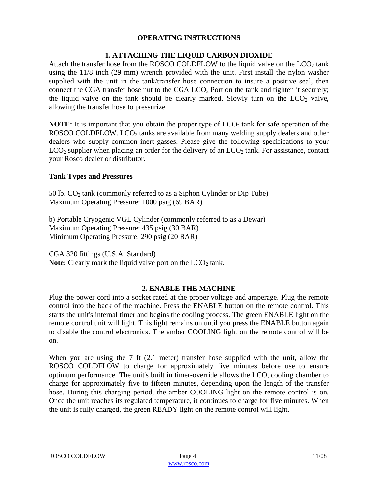## **OPERATING INSTRUCTIONS**

# **1. ATTACHING THE LIQUID CARBON DIOXIDE**

Attach the transfer hose from the ROSCO COLDFLOW to the liquid valve on the  $LCO<sub>2</sub>$  tank using the 11/8 inch (29 mm) wrench provided with the unit. First install the nylon washer supplied with the unit in the tank/transfer hose connection to insure a positive seal, then connect the CGA transfer hose nut to the CGA  $LCO<sub>2</sub>$  Port on the tank and tighten it securely; the liquid valve on the tank should be clearly marked. Slowly turn on the  $LCO<sub>2</sub>$  valve, allowing the transfer hose to pressurize

**NOTE:** It is important that you obtain the proper type of  $LCO<sub>2</sub>$  tank for safe operation of the ROSCO COLDFLOW. LCO<sub>2</sub> tanks are available from many welding supply dealers and other dealers who supply common inert gasses. Please give the following specifications to your  $LCO<sub>2</sub>$  supplier when placing an order for the delivery of an  $LCO<sub>2</sub>$  tank. For assistance, contact your Rosco dealer or distributor.

#### **Tank Types and Pressures**

50 lb.  $CO<sub>2</sub>$  tank (commonly referred to as a Siphon Cylinder or Dip Tube) Maximum Operating Pressure: 1000 psig (69 BAR)

b) Portable Cryogenic VGL Cylinder (commonly referred to as a Dewar) Maximum Operating Pressure: 435 psig (30 BAR) Minimum Operating Pressure: 290 psig (20 BAR)

CGA 320 fittings (U.S.A. Standard) **Note:** Clearly mark the liquid valve port on the  $LCO<sub>2</sub>$  tank.

#### **2. ENABLE THE MACHINE**

Plug the power cord into a socket rated at the proper voltage and amperage. Plug the remote control into the back of the machine. Press the ENABLE button on the remote control. This starts the unit's internal timer and begins the cooling process. The green ENABLE light on the remote control unit will light. This light remains on until you press the ENABLE button again to disable the control electronics. The amber COOLING light on the remote control will be on.

When you are using the 7 ft (2.1 meter) transfer hose supplied with the unit, allow the ROSCO COLDFLOW to charge for approximately five minutes before use to ensure optimum performance. The unit's built in timer-override allows the LCO, cooling chamber to charge for approximately five to fifteen minutes, depending upon the length of the transfer hose. During this charging period, the amber COOLING light on the remote control is on. Once the unit reaches its regulated temperature, it continues to charge for five minutes. When the unit is fully charged, the green READY light on the remote control will light.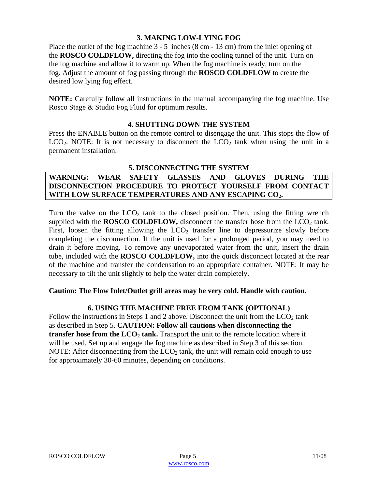# **3. MAKING LOW-LYING FOG**

Place the outlet of the fog machine 3 - 5 inches (8 cm - 13 cm) from the inlet opening of the **ROSCO COLDFLOW,** directing the fog into the cooling tunnel of the unit. Turn on the fog machine and allow it to warm up. When the fog machine is ready, turn on the fog. Adjust the amount of fog passing through the **ROSCO COLDFLOW** to create the desired low lying fog effect.

**NOTE:** Carefully follow all instructions in the manual accompanying the fog machine. Use Rosco Stage & Studio Fog Fluid for optimum results.

#### **4. SHUTTING DOWN THE SYSTEM**

Press the ENABLE button on the remote control to disengage the unit. This stops the flow of  $LCO<sub>2</sub>$ . NOTE: It is not necessary to disconnect the  $LCO<sub>2</sub>$  tank when using the unit in a permanent installation.

# **5. DISCONNECTING THE SYSTEM**

# **WARNING: WEAR SAFETY GLASSES AND GLOVES DURING THE DISCONNECTION PROCEDURE TO PROTECT YOURSELF FROM CONTACT WITH LOW SURFACE TEMPERATURES AND ANY ESCAPING CO2.**

Turn the valve on the  $LCO<sub>2</sub>$  tank to the closed position. Then, using the fitting wrench supplied with the **ROSCO COLDFLOW**, disconnect the transfer hose from the  $LCO<sub>2</sub>$  tank. First, loosen the fitting allowing the  $LCO<sub>2</sub>$  transfer line to depressurize slowly before completing the disconnection. If the unit is used for a prolonged period, you may need to drain it before moving. To remove any unevaporated water from the unit, insert the drain tube, included with the **ROSCO COLDFLOW,** into the quick disconnect located at the rear of the machine and transfer the condensation to an appropriate container. NOTE: It may be necessary to tilt the unit slightly to help the water drain completely.

# **Caution: The Flow Inlet/Outlet grill areas may be very cold. Handle with caution.**

# **6. USING THE MACHINE FREE FROM TANK (OPTIONAL)**

Follow the instructions in Steps 1 and 2 above. Disconnect the unit from the  $LCO<sub>2</sub>$  tank as described in Step 5. **CAUTION: Follow all cautions when disconnecting the transfer hose from the**  $LCO<sub>2</sub>$  **tank.** Transport the unit to the remote location where it will be used. Set up and engage the fog machine as described in Step 3 of this section. NOTE: After disconnecting from the  $LCO<sub>2</sub>$  tank, the unit will remain cold enough to use for approximately 30-60 minutes, depending on conditions.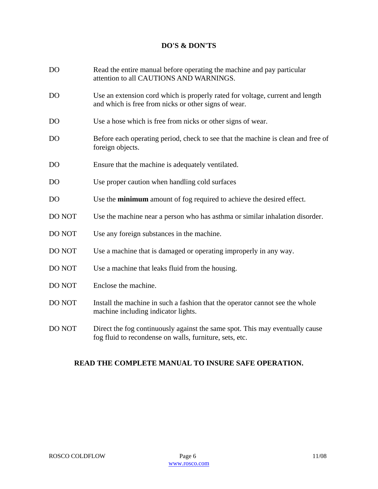# **DO'S & DON'TS**

| D <sub>O</sub> | Read the entire manual before operating the machine and pay particular<br>attention to all CAUTIONS AND WARNINGS.                       |
|----------------|-----------------------------------------------------------------------------------------------------------------------------------------|
| D <sub>O</sub> | Use an extension cord which is properly rated for voltage, current and length<br>and which is free from nicks or other signs of wear.   |
| D <sub>O</sub> | Use a hose which is free from nicks or other signs of wear.                                                                             |
| D <sub>O</sub> | Before each operating period, check to see that the machine is clean and free of<br>foreign objects.                                    |
| DO             | Ensure that the machine is adequately ventilated.                                                                                       |
| D <sub>O</sub> | Use proper caution when handling cold surfaces                                                                                          |
| D <sub>O</sub> | Use the <b>minimum</b> amount of fog required to achieve the desired effect.                                                            |
| DO NOT         | Use the machine near a person who has asthma or similar inhalation disorder.                                                            |
| <b>DO NOT</b>  | Use any foreign substances in the machine.                                                                                              |
| DO NOT         | Use a machine that is damaged or operating improperly in any way.                                                                       |
| DO NOT         | Use a machine that leaks fluid from the housing.                                                                                        |
| <b>DO NOT</b>  | Enclose the machine.                                                                                                                    |
| DO NOT         | Install the machine in such a fashion that the operator cannot see the whole<br>machine including indicator lights.                     |
| DO NOT         | Direct the fog continuously against the same spot. This may eventually cause<br>fog fluid to recondense on walls, furniture, sets, etc. |

# **READ THE COMPLETE MANUAL TO INSURE SAFE OPERATION.**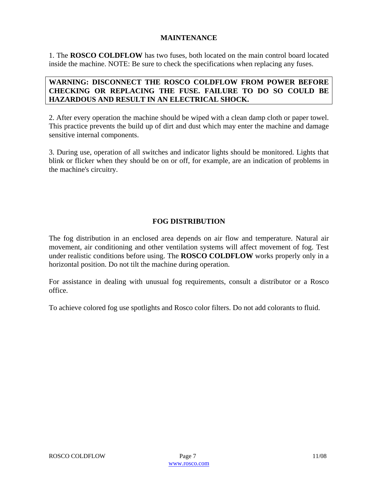# **MAINTENANCE**

1. The **ROSCO COLDFLOW** has two fuses, both located on the main control board located inside the machine. NOTE: Be sure to check the specifications when replacing any fuses.

# **WARNING: DISCONNECT THE ROSCO COLDFLOW FROM POWER BEFORE CHECKING OR REPLACING THE FUSE. FAILURE TO DO SO COULD BE HAZARDOUS AND RESULT IN AN ELECTRICAL SHOCK.**

2. After every operation the machine should be wiped with a clean damp cloth or paper towel. This practice prevents the build up of dirt and dust which may enter the machine and damage sensitive internal components.

3. During use, operation of all switches and indicator lights should be monitored. Lights that blink or flicker when they should be on or off, for example, are an indication of problems in the machine's circuitry.

# **FOG DISTRIBUTION**

The fog distribution in an enclosed area depends on air flow and temperature. Natural air movement, air conditioning and other ventilation systems will affect movement of fog. Test under realistic conditions before using. The **ROSCO COLDFLOW** works properly only in a horizontal position. Do not tilt the machine during operation.

For assistance in dealing with unusual fog requirements, consult a distributor or a Rosco office.

To achieve colored fog use spotlights and Rosco color filters. Do not add colorants to fluid.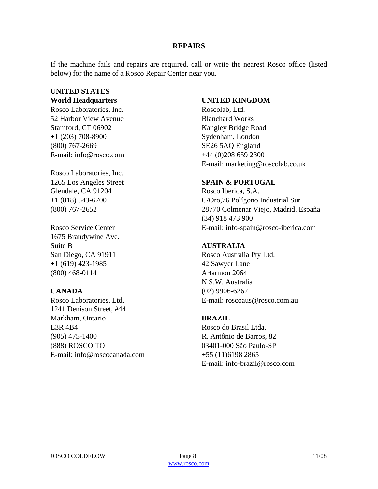#### **REPAIRS**

If the machine fails and repairs are required, call or write the nearest Rosco office (listed below) for the name of a Rosco Repair Center near you.

# **UNITED STATES**

**World Headquarters** 

Rosco Laboratories, Inc. 52 Harbor View Avenue Stamford, CT 06902 +1 (203) 708-8900 (800) 767-2669 E-mail: info@rosco.com

Rosco Laboratories, Inc. 1265 Los Angeles Street Glendale, CA 91204 +1 (818) 543-6700 (800) 767-2652

Rosco Service Center 1675 Brandywine Ave. Suite B San Diego, CA 91911 +1 (619) 423-1985 (800) 468-0114

# **CANADA**

Rosco Laboratories, Ltd. 1241 Denison Street, #44 Markham, Ontario L3R 4B4 (905) 475-1400 (888) ROSCO TO E-mail: info@roscocanada.com

## **UNITED KINGDOM**

Roscolab, Ltd. Blanchard Works Kangley Bridge Road Sydenham, London SE26 5AQ England +44 (0)208 659 2300 E-mail: marketing@roscolab.co.uk

#### **SPAIN & PORTUGAL**

Rosco Iberica, S.A. C/Oro,76 Polígono Industrial Sur 28770 Colmenar Viejo, Madrid. España (34) 918 473 900 E-mail: info-spain@rosco-iberica.com

# **AUSTRALIA**

Rosco Australia Pty Ltd. 42 Sawyer Lane Artarmon 2064 N.S.W. Australia (02) 9906-6262 E-mail: roscoaus@rosco.com.au

# **BRAZIL**

Rosco do Brasil Ltda. R. Antônio de Barros, 82 03401-000 São Paulo-SP +55 (11)6198 2865 E-mail: info-brazil@rosco.com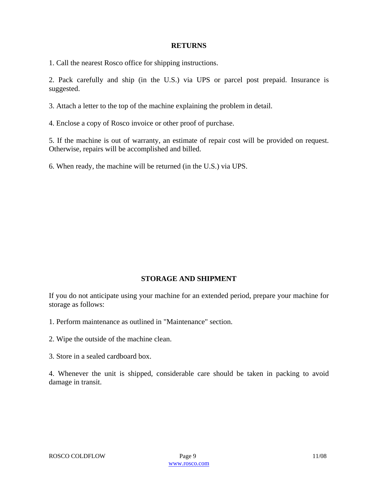#### **RETURNS**

1. Call the nearest Rosco office for shipping instructions.

2. Pack carefully and ship (in the U.S.) via UPS or parcel post prepaid. Insurance is suggested.

3. Attach a letter to the top of the machine explaining the problem in detail.

4. Enclose a copy of Rosco invoice or other proof of purchase.

5. If the machine is out of warranty, an estimate of repair cost will be provided on request. Otherwise, repairs will be accomplished and billed.

6. When ready, the machine will be returned (in the U.S.) via UPS.

# **STORAGE AND SHIPMENT**

If you do not anticipate using your machine for an extended period, prepare your machine for storage as follows:

- 1. Perform maintenance as outlined in "Maintenance" section.
- 2. Wipe the outside of the machine clean.
- 3. Store in a sealed cardboard box.

4. Whenever the unit is shipped, considerable care should be taken in packing to avoid damage in transit.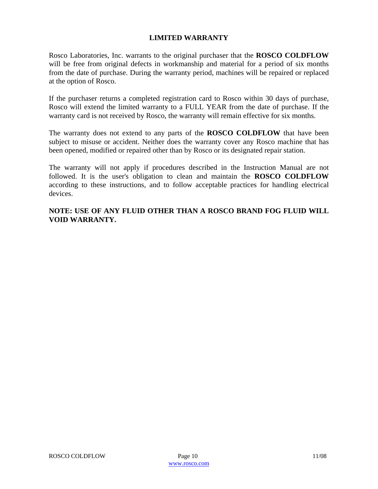# **LIMITED WARRANTY**

Rosco Laboratories, Inc. warrants to the original purchaser that the **ROSCO COLDFLOW** will be free from original defects in workmanship and material for a period of six months from the date of purchase. During the warranty period, machines will be repaired or replaced at the option of Rosco.

If the purchaser returns a completed registration card to Rosco within 30 days of purchase, Rosco will extend the limited warranty to a FULL YEAR from the date of purchase. If the warranty card is not received by Rosco, the warranty will remain effective for six months.

The warranty does not extend to any parts of the **ROSCO COLDFLOW** that have been subject to misuse or accident. Neither does the warranty cover any Rosco machine that has been opened, modified or repaired other than by Rosco or its designated repair station.

The warranty will not apply if procedures described in the Instruction Manual are not followed. It is the user's obligation to clean and maintain the **ROSCO COLDFLOW** according to these instructions, and to follow acceptable practices for handling electrical devices.

# **NOTE: USE OF ANY FLUID OTHER THAN A ROSCO BRAND FOG FLUID WILL VOID WARRANTY.**